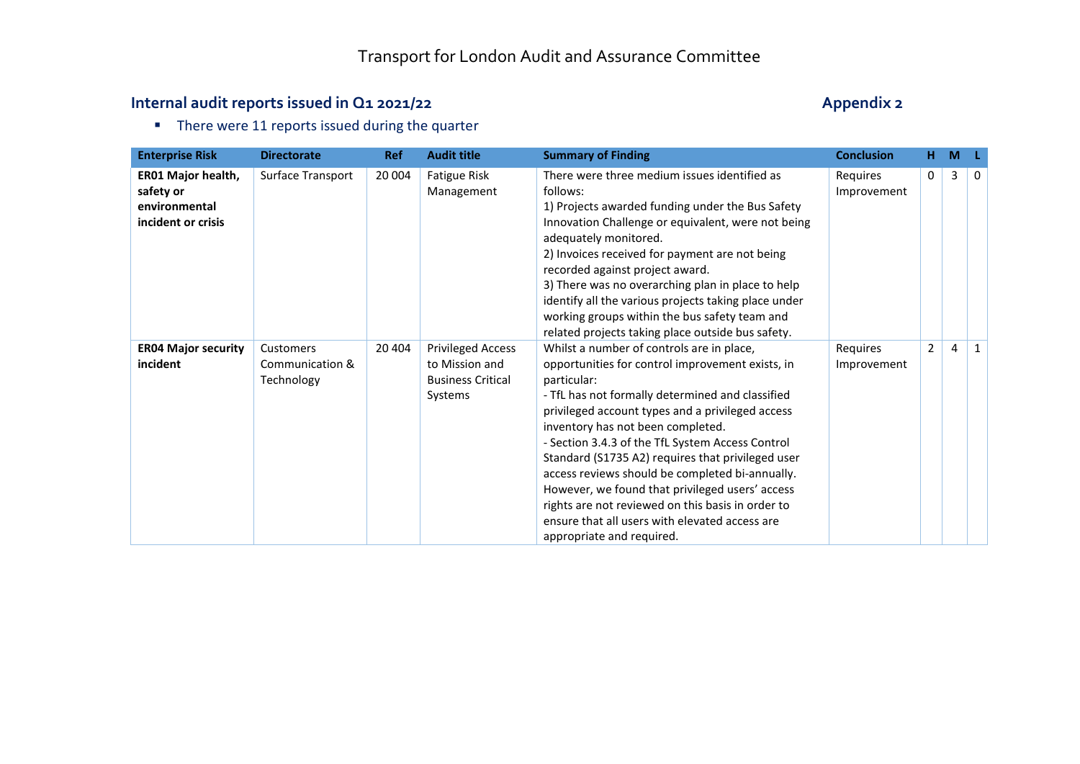#### **Internal audit reports issued in Q1 2021/22** Appendix 2

**There were 11 reports issued during the quarter** 

| <b>Enterprise Risk</b>                                                 | <b>Directorate</b>                         | <b>Ref</b> | <b>Audit title</b>                                                                | <b>Summary of Finding</b>                                                                                                                                                                                                                                                                                                                                                                                                                                                                                                                                                                                    | <b>Conclusion</b>       | н.             | M |              |
|------------------------------------------------------------------------|--------------------------------------------|------------|-----------------------------------------------------------------------------------|--------------------------------------------------------------------------------------------------------------------------------------------------------------------------------------------------------------------------------------------------------------------------------------------------------------------------------------------------------------------------------------------------------------------------------------------------------------------------------------------------------------------------------------------------------------------------------------------------------------|-------------------------|----------------|---|--------------|
| ER01 Major health,<br>safety or<br>environmental<br>incident or crisis | Surface Transport                          | 20 004     | <b>Fatigue Risk</b><br>Management                                                 | There were three medium issues identified as<br>follows:<br>1) Projects awarded funding under the Bus Safety<br>Innovation Challenge or equivalent, were not being<br>adequately monitored.<br>2) Invoices received for payment are not being<br>recorded against project award.<br>3) There was no overarching plan in place to help<br>identify all the various projects taking place under<br>working groups within the bus safety team and<br>related projects taking place outside bus safety.                                                                                                          | Requires<br>Improvement | $\Omega$       | 3 | 0            |
| <b>ER04 Major security</b><br>incident                                 | Customers<br>Communication &<br>Technology | 20 404     | <b>Privileged Access</b><br>to Mission and<br><b>Business Critical</b><br>Systems | Whilst a number of controls are in place,<br>opportunities for control improvement exists, in<br>particular:<br>- TfL has not formally determined and classified<br>privileged account types and a privileged access<br>inventory has not been completed.<br>- Section 3.4.3 of the TfL System Access Control<br>Standard (S1735 A2) requires that privileged user<br>access reviews should be completed bi-annually.<br>However, we found that privileged users' access<br>rights are not reviewed on this basis in order to<br>ensure that all users with elevated access are<br>appropriate and required. | Requires<br>Improvement | $\overline{2}$ | 4 | $\mathbf{1}$ |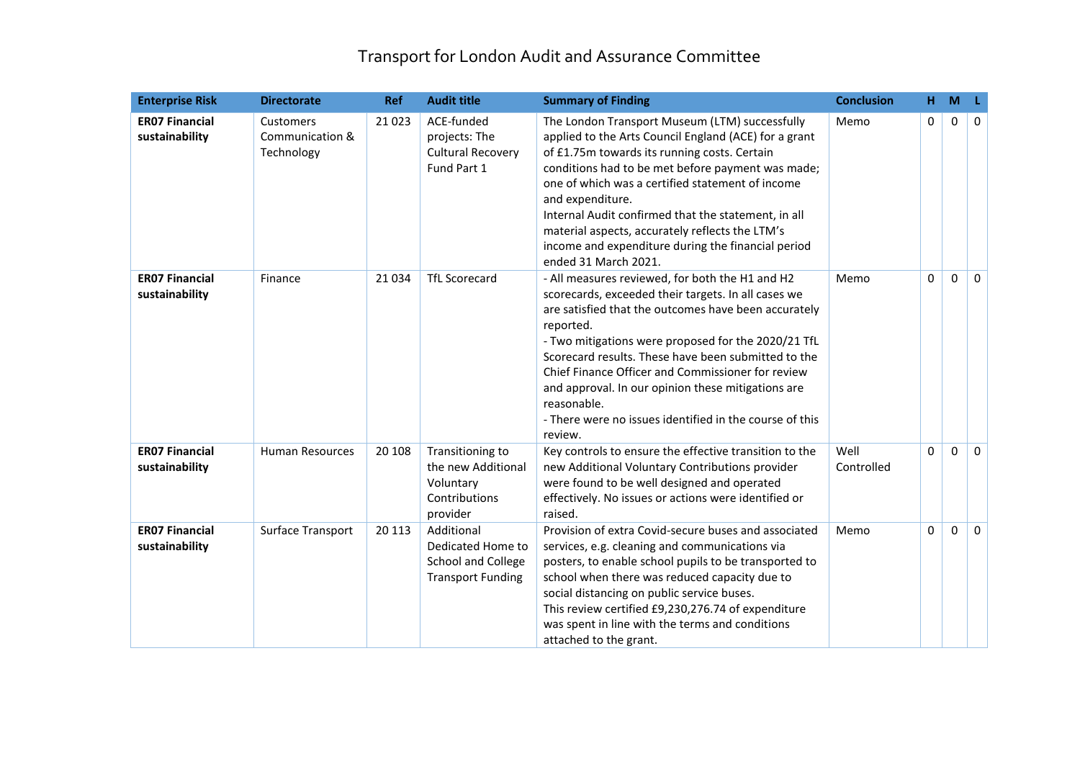| <b>Enterprise Risk</b>                  | <b>Directorate</b>                         | <b>Ref</b> | <b>Audit title</b>                                                                | <b>Summary of Finding</b>                                                                                                                                                                                                                                                                                                                                                                                                                                                                 | <b>Conclusion</b>  | н.       | M            | -L           |
|-----------------------------------------|--------------------------------------------|------------|-----------------------------------------------------------------------------------|-------------------------------------------------------------------------------------------------------------------------------------------------------------------------------------------------------------------------------------------------------------------------------------------------------------------------------------------------------------------------------------------------------------------------------------------------------------------------------------------|--------------------|----------|--------------|--------------|
| <b>ER07 Financial</b><br>sustainability | Customers<br>Communication &<br>Technology | 21 0 23    | ACE-funded<br>projects: The<br><b>Cultural Recovery</b><br>Fund Part 1            | The London Transport Museum (LTM) successfully<br>applied to the Arts Council England (ACE) for a grant<br>of £1.75m towards its running costs. Certain<br>conditions had to be met before payment was made;<br>one of which was a certified statement of income<br>and expenditure.<br>Internal Audit confirmed that the statement, in all<br>material aspects, accurately reflects the LTM's<br>income and expenditure during the financial period<br>ended 31 March 2021.              | Memo               | 0        | 0            | $\Omega$     |
| <b>ER07 Financial</b><br>sustainability | Finance                                    | 21034      | <b>TfL Scorecard</b>                                                              | - All measures reviewed, for both the H1 and H2<br>scorecards, exceeded their targets. In all cases we<br>are satisfied that the outcomes have been accurately<br>reported.<br>- Two mitigations were proposed for the 2020/21 TfL<br>Scorecard results. These have been submitted to the<br>Chief Finance Officer and Commissioner for review<br>and approval. In our opinion these mitigations are<br>reasonable.<br>- There were no issues identified in the course of this<br>review. | Memo               | $\Omega$ | $\Omega$     | $\Omega$     |
| <b>ER07 Financial</b><br>sustainability | <b>Human Resources</b>                     | 20 10 8    | Transitioning to<br>the new Additional<br>Voluntary<br>Contributions<br>provider  | Key controls to ensure the effective transition to the<br>new Additional Voluntary Contributions provider<br>were found to be well designed and operated<br>effectively. No issues or actions were identified or<br>raised.                                                                                                                                                                                                                                                               | Well<br>Controlled | 0        | $\Omega$     | $\mathbf 0$  |
| <b>ER07 Financial</b><br>sustainability | Surface Transport                          | 20 113     | Additional<br>Dedicated Home to<br>School and College<br><b>Transport Funding</b> | Provision of extra Covid-secure buses and associated<br>services, e.g. cleaning and communications via<br>posters, to enable school pupils to be transported to<br>school when there was reduced capacity due to<br>social distancing on public service buses.<br>This review certified £9,230,276.74 of expenditure<br>was spent in line with the terms and conditions<br>attached to the grant.                                                                                         | Memo               | 0        | $\mathbf{0}$ | $\mathbf{0}$ |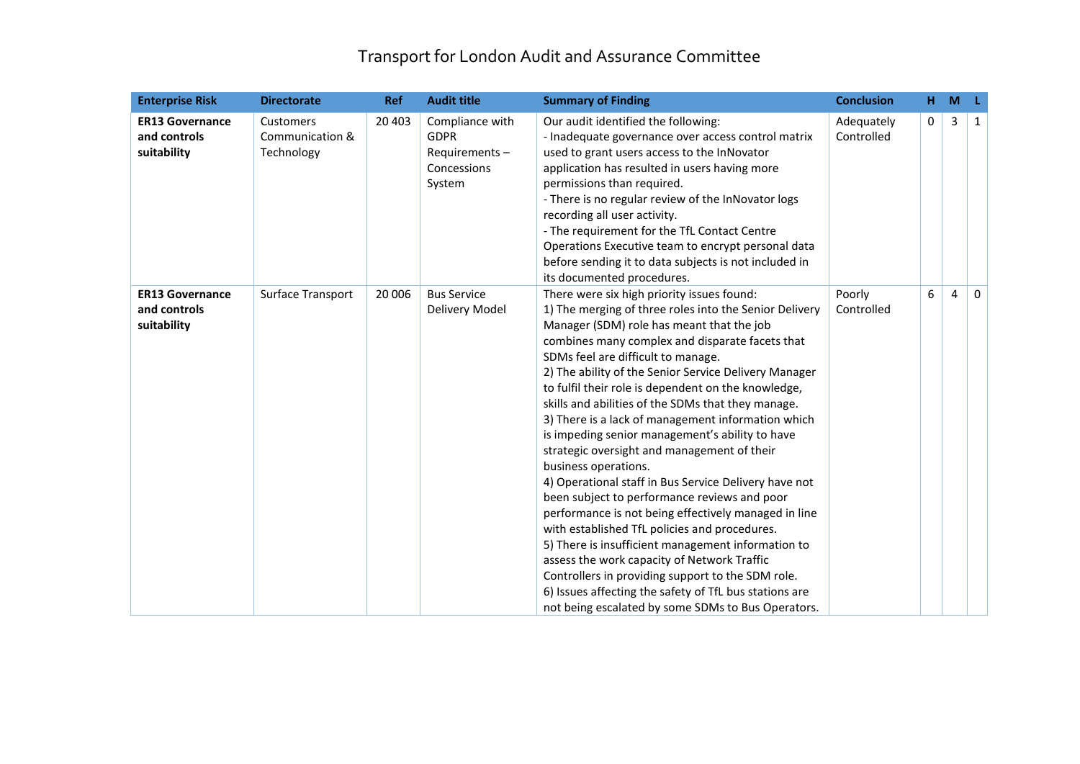| <b>Enterprise Risk</b>                                | <b>Directorate</b>                         | <b>Ref</b> | <b>Audit title</b>                                                       | <b>Summary of Finding</b>                                                                                                                                                                                                                                                                                                                                                                                                                                                                                                                                                                                                                                                                                                                                                                                                                                                                                                                                                                                                                                                                    | <b>Conclusion</b>        | н. | M |          |
|-------------------------------------------------------|--------------------------------------------|------------|--------------------------------------------------------------------------|----------------------------------------------------------------------------------------------------------------------------------------------------------------------------------------------------------------------------------------------------------------------------------------------------------------------------------------------------------------------------------------------------------------------------------------------------------------------------------------------------------------------------------------------------------------------------------------------------------------------------------------------------------------------------------------------------------------------------------------------------------------------------------------------------------------------------------------------------------------------------------------------------------------------------------------------------------------------------------------------------------------------------------------------------------------------------------------------|--------------------------|----|---|----------|
| <b>ER13 Governance</b><br>and controls<br>suitability | Customers<br>Communication &<br>Technology | 20 40 3    | Compliance with<br><b>GDPR</b><br>Requirements-<br>Concessions<br>System | Our audit identified the following:<br>- Inadequate governance over access control matrix<br>used to grant users access to the InNovator<br>application has resulted in users having more<br>permissions than required.<br>- There is no regular review of the InNovator logs<br>recording all user activity.<br>- The requirement for the TfL Contact Centre<br>Operations Executive team to encrypt personal data<br>before sending it to data subjects is not included in<br>its documented procedures.                                                                                                                                                                                                                                                                                                                                                                                                                                                                                                                                                                                   | Adequately<br>Controlled | 0  | 3 | 1        |
| <b>ER13 Governance</b><br>and controls<br>suitability | Surface Transport                          | 20 006     | <b>Bus Service</b><br>Delivery Model                                     | There were six high priority issues found:<br>1) The merging of three roles into the Senior Delivery<br>Manager (SDM) role has meant that the job<br>combines many complex and disparate facets that<br>SDMs feel are difficult to manage.<br>2) The ability of the Senior Service Delivery Manager<br>to fulfil their role is dependent on the knowledge,<br>skills and abilities of the SDMs that they manage.<br>3) There is a lack of management information which<br>is impeding senior management's ability to have<br>strategic oversight and management of their<br>business operations.<br>4) Operational staff in Bus Service Delivery have not<br>been subject to performance reviews and poor<br>performance is not being effectively managed in line<br>with established TfL policies and procedures.<br>5) There is insufficient management information to<br>assess the work capacity of Network Traffic<br>Controllers in providing support to the SDM role.<br>6) Issues affecting the safety of TfL bus stations are<br>not being escalated by some SDMs to Bus Operators. | Poorly<br>Controlled     | 6  | 4 | $\Omega$ |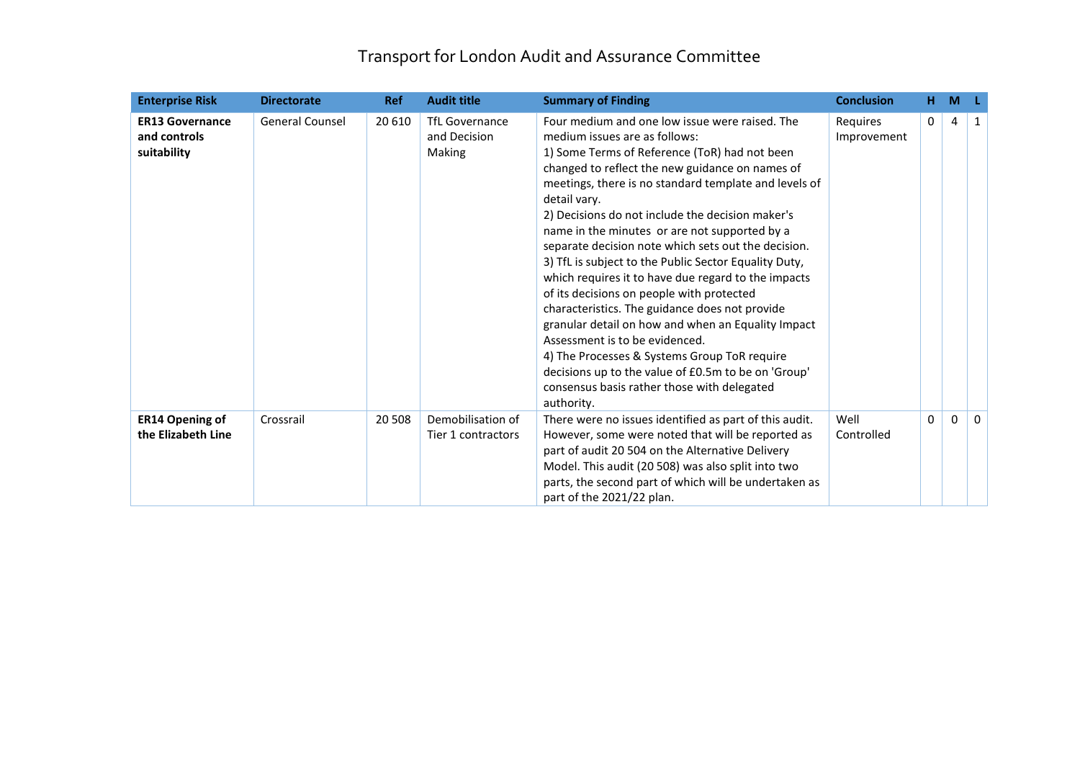| <b>Enterprise Risk</b>                                | <b>Directorate</b>     | <b>Ref</b> | <b>Audit title</b>                              | <b>Summary of Finding</b>                                                                                                                                                                                                                                                                                                                                                                                                                                                                                                                                                                                                                                                                                                                                                                                                                                                                           | <b>Conclusion</b>       | н.           | M |          |
|-------------------------------------------------------|------------------------|------------|-------------------------------------------------|-----------------------------------------------------------------------------------------------------------------------------------------------------------------------------------------------------------------------------------------------------------------------------------------------------------------------------------------------------------------------------------------------------------------------------------------------------------------------------------------------------------------------------------------------------------------------------------------------------------------------------------------------------------------------------------------------------------------------------------------------------------------------------------------------------------------------------------------------------------------------------------------------------|-------------------------|--------------|---|----------|
| <b>ER13 Governance</b><br>and controls<br>suitability | <b>General Counsel</b> | 20 610     | <b>TfL Governance</b><br>and Decision<br>Making | Four medium and one low issue were raised. The<br>medium issues are as follows:<br>1) Some Terms of Reference (ToR) had not been<br>changed to reflect the new guidance on names of<br>meetings, there is no standard template and levels of<br>detail vary.<br>2) Decisions do not include the decision maker's<br>name in the minutes or are not supported by a<br>separate decision note which sets out the decision.<br>3) TfL is subject to the Public Sector Equality Duty,<br>which requires it to have due regard to the impacts<br>of its decisions on people with protected<br>characteristics. The guidance does not provide<br>granular detail on how and when an Equality Impact<br>Assessment is to be evidenced.<br>4) The Processes & Systems Group ToR require<br>decisions up to the value of £0.5m to be on 'Group'<br>consensus basis rather those with delegated<br>authority. | Requires<br>Improvement | $\mathbf{0}$ | 4 | 1        |
| <b>ER14 Opening of</b><br>the Elizabeth Line          | Crossrail              | 20 508     | Demobilisation of<br>Tier 1 contractors         | There were no issues identified as part of this audit.<br>However, some were noted that will be reported as<br>part of audit 20 504 on the Alternative Delivery<br>Model. This audit (20 508) was also split into two<br>parts, the second part of which will be undertaken as<br>part of the 2021/22 plan.                                                                                                                                                                                                                                                                                                                                                                                                                                                                                                                                                                                         | Well<br>Controlled      | $\Omega$     | 0 | $\Omega$ |